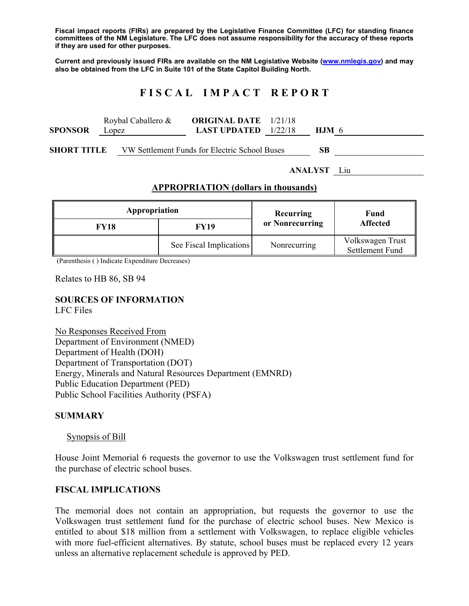**Fiscal impact reports (FIRs) are prepared by the Legislative Finance Committee (LFC) for standing finance committees of the NM Legislature. The LFC does not assume responsibility for the accuracy of these reports if they are used for other purposes.** 

**Current and previously issued FIRs are available on the NM Legislative Website (www.nmlegis.gov) and may also be obtained from the LFC in Suite 101 of the State Capitol Building North.** 

# **F I S C A L I M P A C T R E P O R T**

|              | Roybal Caballero & | <b>ORIGINAL DATE</b> 1/21/18  |         |
|--------------|--------------------|-------------------------------|---------|
| SPONSOR      | Lopez              | <b>LAST UPDATED</b> $1/22/18$ | $HJM$ 6 |
| ------------ | _ ___ _ _ _        | _ _.                          | $ -$    |

**SHORT TITLE** VW Settlement Funds for Electric School Buses **SB** 

**ANALYST** Liu

### **APPROPRIATION (dollars in thousands)**

| Appropriation |                         | Recurring       | Fund<br><b>Affected</b>             |
|---------------|-------------------------|-----------------|-------------------------------------|
| <b>FY18</b>   | FY19                    | or Nonrecurring |                                     |
|               | See Fiscal Implications | Nonrecurring    | Volkswagen Trust<br>Settlement Fund |

(Parenthesis ( ) Indicate Expenditure Decreases)

Relates to HB 86, SB 94

# **SOURCES OF INFORMATION**

LFC Files

No Responses Received From Department of Environment (NMED) Department of Health (DOH) Department of Transportation (DOT) Energy, Minerals and Natural Resources Department (EMNRD) Public Education Department (PED) Public School Facilities Authority (PSFA)

#### **SUMMARY**

#### Synopsis of Bill

House Joint Memorial 6 requests the governor to use the Volkswagen trust settlement fund for the purchase of electric school buses.

### **FISCAL IMPLICATIONS**

The memorial does not contain an appropriation, but requests the governor to use the Volkswagen trust settlement fund for the purchase of electric school buses. New Mexico is entitled to about \$18 million from a settlement with Volkswagen, to replace eligible vehicles with more fuel-efficient alternatives. By statute, school buses must be replaced every 12 years unless an alternative replacement schedule is approved by PED.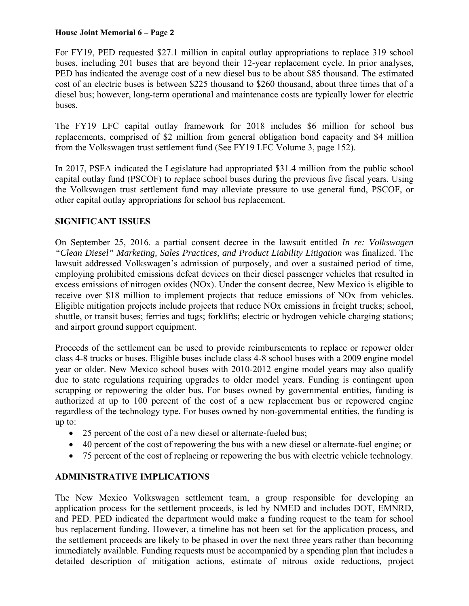#### **House Joint Memorial 6 – Page 2**

For FY19, PED requested \$27.1 million in capital outlay appropriations to replace 319 school buses, including 201 buses that are beyond their 12-year replacement cycle. In prior analyses, PED has indicated the average cost of a new diesel bus to be about \$85 thousand. The estimated cost of an electric buses is between \$225 thousand to \$260 thousand, about three times that of a diesel bus; however, long-term operational and maintenance costs are typically lower for electric buses.

The FY19 LFC capital outlay framework for 2018 includes \$6 million for school bus replacements, comprised of \$2 million from general obligation bond capacity and \$4 million from the Volkswagen trust settlement fund (See FY19 LFC Volume 3, page 152).

In 2017, PSFA indicated the Legislature had appropriated \$31.4 million from the public school capital outlay fund (PSCOF) to replace school buses during the previous five fiscal years. Using the Volkswagen trust settlement fund may alleviate pressure to use general fund, PSCOF, or other capital outlay appropriations for school bus replacement.

## **SIGNIFICANT ISSUES**

On September 25, 2016. a partial consent decree in the lawsuit entitled *In re: Volkswagen "Clean Diesel" Marketing, Sales Practices, and Product Liability Litigation* was finalized. The lawsuit addressed Volkswagen's admission of purposely, and over a sustained period of time, employing prohibited emissions defeat devices on their diesel passenger vehicles that resulted in excess emissions of nitrogen oxides (NOx). Under the consent decree, New Mexico is eligible to receive over \$18 million to implement projects that reduce emissions of NOx from vehicles. Eligible mitigation projects include projects that reduce NOx emissions in freight trucks; school, shuttle, or transit buses; ferries and tugs; forklifts; electric or hydrogen vehicle charging stations; and airport ground support equipment.

Proceeds of the settlement can be used to provide reimbursements to replace or repower older class 4-8 trucks or buses. Eligible buses include class 4-8 school buses with a 2009 engine model year or older. New Mexico school buses with 2010-2012 engine model years may also qualify due to state regulations requiring upgrades to older model years. Funding is contingent upon scrapping or repowering the older bus. For buses owned by governmental entities, funding is authorized at up to 100 percent of the cost of a new replacement bus or repowered engine regardless of the technology type. For buses owned by non-governmental entities, the funding is up to:

- 25 percent of the cost of a new diesel or alternate-fueled bus;
- 40 percent of the cost of repowering the bus with a new diesel or alternate-fuel engine; or
- 75 percent of the cost of replacing or repowering the bus with electric vehicle technology.

## **ADMINISTRATIVE IMPLICATIONS**

The New Mexico Volkswagen settlement team, a group responsible for developing an application process for the settlement proceeds, is led by NMED and includes DOT, EMNRD, and PED. PED indicated the department would make a funding request to the team for school bus replacement funding. However, a timeline has not been set for the application process, and the settlement proceeds are likely to be phased in over the next three years rather than becoming immediately available. Funding requests must be accompanied by a spending plan that includes a detailed description of mitigation actions, estimate of nitrous oxide reductions, project